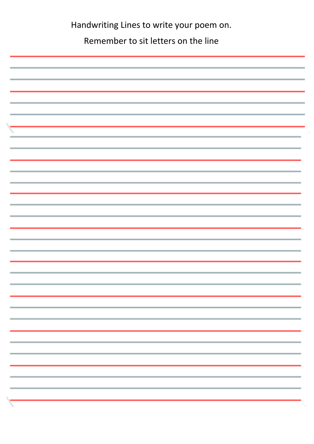| Handwriting Lines to write your poem on. |  |
|------------------------------------------|--|
| Remember to sit letters on the line      |  |
|                                          |  |
|                                          |  |
|                                          |  |
|                                          |  |
|                                          |  |
|                                          |  |
|                                          |  |
|                                          |  |
|                                          |  |
|                                          |  |
|                                          |  |
|                                          |  |
|                                          |  |
|                                          |  |
|                                          |  |
|                                          |  |
|                                          |  |
|                                          |  |
|                                          |  |
|                                          |  |
|                                          |  |
|                                          |  |
|                                          |  |
|                                          |  |
|                                          |  |
|                                          |  |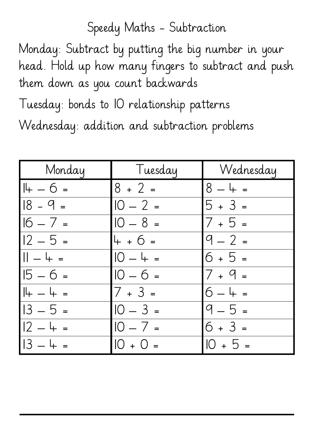## Speedy Maths - Subtraction

Monday: Subtract by putting the big number in your head. Hold up how many fingers to subtract and push them down as you count backwards

Tuesday: bonds to 10 relationship patterns

Wednesday: addition and subtraction problems

| Monday                                  | Tuesday    | Wednesday  |
|-----------------------------------------|------------|------------|
| $14 - 6 =$                              | $8 + 2 =$  | $8 - 4 =$  |
| $18 - 9 =$                              | $10 - 2 =$ | $5 + 3 =$  |
| $16 - 7 =$                              | $10 - 8 =$ | $7 + 5 =$  |
| $12 - 5 =$                              | $4 + 6 =$  | $9 - 2 =$  |
| $\mathsf{III}=\mathsf{L}_{\mathsf{F}}=$ | $10 - 4 =$ | $6 + 5 =$  |
| $15 - 6 =$                              | $10 - 6 =$ | $7 + 9 =$  |
| $ l+ - l+   =$                          | $7 + 3 =$  | $6 - 4 =$  |
| $13 - 5 =$                              | $10 - 3 =$ | $9 - 5 =$  |
| $12 - 4 =$                              | $10 - 7 =$ | $6 + 3 =$  |
| $13 - 4 =$                              | $10 + 0 =$ | $10 + 5 =$ |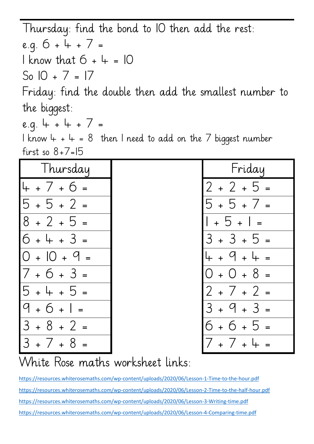Thursday: find the bond to 10 then add the rest: e.g.  $6 + 4 + 7 =$ I know that  $6 + 4 = 10$ So  $10 + 7 = 17$ Friday: find the double then add the smallest number to the biggest: e.g.  $4 + 4 + 7 =$ I know  $4 + 4 = 8$  then I need to add on the 7 biggest number first so  $8+7=15$ 

| Thursday                                    |  | Friday          |  |  |  |
|---------------------------------------------|--|-----------------|--|--|--|
| $4 + 7 + 6 =$                               |  | $2 + 2 + 5 =$   |  |  |  |
| $15 + 5 + 2 =$                              |  | $15 + 5 + 7 =$  |  |  |  |
| $18 + 2 + 5 =$                              |  | $   + 5 +    =$ |  |  |  |
| $16 + 4 + 3 =$                              |  | $ 3 + 3 + 5 =$  |  |  |  |
| $10 + 10 + 9 =$                             |  | $4 + 9 + 4$     |  |  |  |
| $7 + 6 + 3 =$                               |  | $0 + 0 + 8 =$   |  |  |  |
| $15 + 4 + 5 =$                              |  | $2 + 7 + 2 =$   |  |  |  |
| $19 + 6 + 1 =$                              |  | $3 + 9 + 3 =$   |  |  |  |
| $3 + 8 + 2 =$                               |  | $6 + 6 + 5 =$   |  |  |  |
| $3 + 7 + 8 =$                               |  | 17 + 7 + 4      |  |  |  |
| $\Lambda / L : +$<br>باعزا لجمعهماء<br>$+1$ |  |                 |  |  |  |

### White Rose maths worksheet links:

<https://resources.whiterosemaths.com/wp-content/uploads/2020/06/Lesson-1-Time-to-the-hour.pdf> <https://resources.whiterosemaths.com/wp-content/uploads/2020/06/Lesson-2-Time-to-the-half-hour.pdf> <https://resources.whiterosemaths.com/wp-content/uploads/2020/06/Lesson-3-Writing-time.pdf> <https://resources.whiterosemaths.com/wp-content/uploads/2020/06/Lesson-4-Comparing-time.pdf>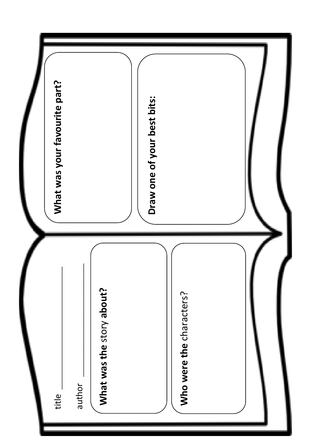| What was your favourite part? |                                     | Draw one of your best bits: |  |
|-------------------------------|-------------------------------------|-----------------------------|--|
| title                         | What was the story about?<br>author | Who were the characters?    |  |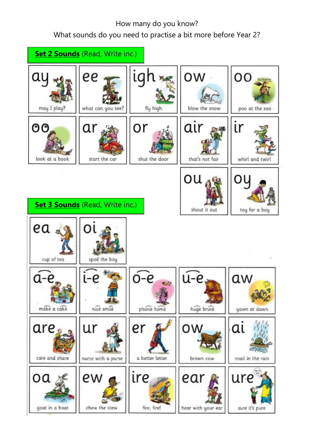#### How many do you know?

What sounds do you need to practise a bit more before Year 2?

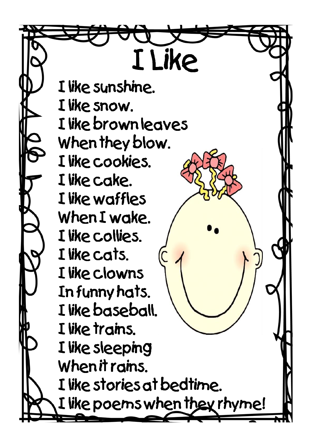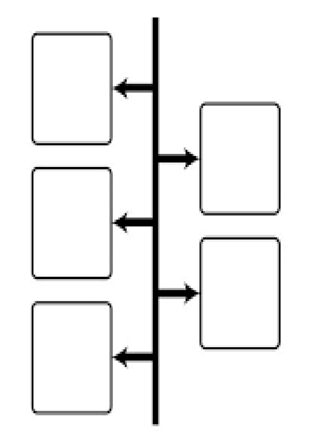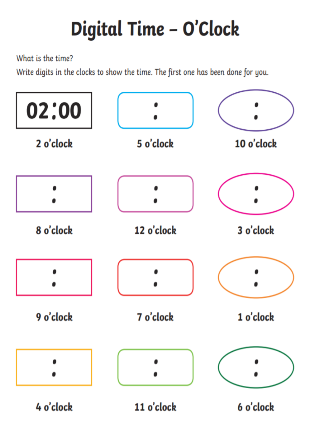# **Digital Time - O'Clock**

What is the time?

Write digits in the clocks to show the time. The first one has been done for you.